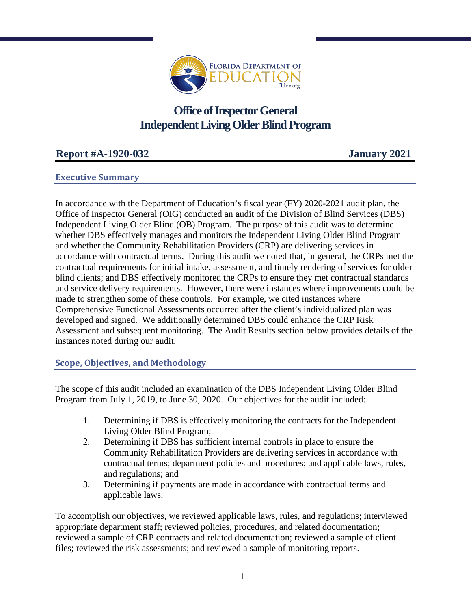

# **Office of Inspector General Independent Living Older Blind Program**

# **Report #A-1920-032 January 2021**

## **Executive Summary**

In accordance with the Department of Education's fiscal year (FY) 2020-2021 audit plan, the Office of Inspector General (OIG) conducted an audit of the Division of Blind Services (DBS) Independent Living Older Blind (OB) Program. The purpose of this audit was to determine whether DBS effectively manages and monitors the Independent Living Older Blind Program and whether the Community Rehabilitation Providers (CRP) are delivering services in accordance with contractual terms. During this audit we noted that, in general, the CRPs met the contractual requirements for initial intake, assessment, and timely rendering of services for older blind clients; and DBS effectively monitored the CRPs to ensure they met contractual standards and service delivery requirements. However, there were instances where improvements could be made to strengthen some of these controls. For example, we cited instances where Comprehensive Functional Assessments occurred after the client's individualized plan was developed and signed. We additionally determined DBS could enhance the CRP Risk Assessment and subsequent monitoring. The Audit Results section below provides details of the instances noted during our audit.

## **Scope, Objectives, and Methodology**

The scope of this audit included an examination of the DBS Independent Living Older Blind Program from July 1, 2019, to June 30, 2020. Our objectives for the audit included:

- 1. Determining if DBS is effectively monitoring the contracts for the Independent Living Older Blind Program;
- 2. Determining if DBS has sufficient internal controls in place to ensure the Community Rehabilitation Providers are delivering services in accordance with contractual terms; department policies and procedures; and applicable laws, rules, and regulations; and
- 3. Determining if payments are made in accordance with contractual terms and applicable laws.

To accomplish our objectives, we reviewed applicable laws, rules, and regulations; interviewed appropriate department staff; reviewed policies, procedures, and related documentation; reviewed a sample of CRP contracts and related documentation; reviewed a sample of client files; reviewed the risk assessments; and reviewed a sample of monitoring reports.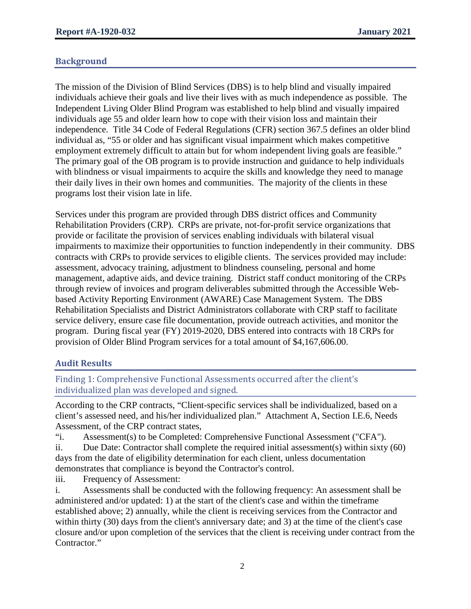## **Background**

The mission of the Division of Blind Services (DBS) is to help blind and visually impaired individuals achieve their goals and live their lives with as much independence as possible. The Independent Living Older Blind Program was established to help blind and visually impaired individuals age 55 and older learn how to cope with their vision loss and maintain their independence. Title 34 Code of Federal Regulations (CFR) section 367.5 defines an older blind individual as, "55 or older and has significant visual impairment which makes competitive employment extremely difficult to attain but for whom independent living goals are feasible." The primary goal of the OB program is to provide instruction and guidance to help individuals with blindness or visual impairments to acquire the skills and knowledge they need to manage their daily lives in their own homes and communities. The majority of the clients in these programs lost their vision late in life.

Services under this program are provided through DBS district offices and Community Rehabilitation Providers (CRP). CRPs are private, not-for-profit service organizations that provide or facilitate the provision of services enabling individuals with bilateral visual impairments to maximize their opportunities to function independently in their community. DBS contracts with CRPs to provide services to eligible clients. The services provided may include: assessment, advocacy training, adjustment to blindness counseling, personal and home management, adaptive aids, and device training. District staff conduct monitoring of the CRPs through review of invoices and program deliverables submitted through the Accessible Webbased Activity Reporting Environment (AWARE) Case Management System. The DBS Rehabilitation Specialists and District Administrators collaborate with CRP staff to facilitate service delivery, ensure case file documentation, provide outreach activities, and monitor the program. During fiscal year (FY) 2019-2020, DBS entered into contracts with 18 CRPs for provision of Older Blind Program services for a total amount of \$4,167,606.00.

## **Audit Results**

Finding 1: Comprehensive Functional Assessments occurred after the client's individualized plan was developed and signed.

According to the CRP contracts, "Client-specific services shall be individualized, based on a client's assessed need, and his/her individualized plan." Attachment A, Section I.E.6, Needs Assessment, of the CRP contract states,

"i. Assessment(s) to be Completed: Comprehensive Functional Assessment ("CFA").

ii. Due Date: Contractor shall complete the required initial assessment(s) within sixty (60) days from the date of eligibility determination for each client, unless documentation demonstrates that compliance is beyond the Contractor's control.

iii. Frequency of Assessment:

i. Assessments shall be conducted with the following frequency: An assessment shall be administered and/or updated: 1) at the start of the client's case and within the timeframe established above; 2) annually, while the client is receiving services from the Contractor and within thirty (30) days from the client's anniversary date; and 3) at the time of the client's case closure and/or upon completion of the services that the client is receiving under contract from the Contractor."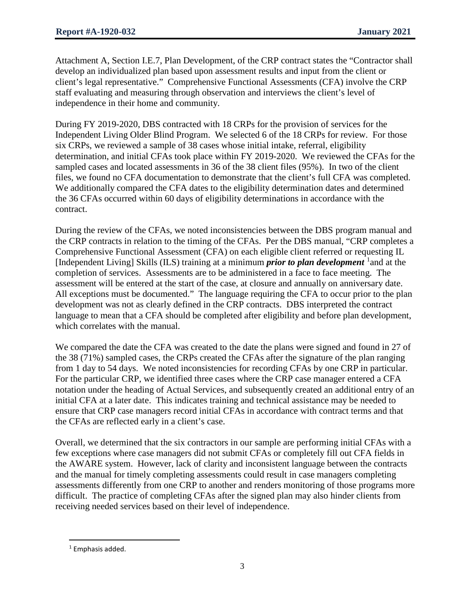Attachment A, Section I.E.7, Plan Development, of the CRP contract states the "Contractor shall develop an individualized plan based upon assessment results and input from the client or client's legal representative." Comprehensive Functional Assessments (CFA) involve the CRP staff evaluating and measuring through observation and interviews the client's level of independence in their home and community.

During FY 2019-2020, DBS contracted with 18 CRPs for the provision of services for the Independent Living Older Blind Program. We selected 6 of the 18 CRPs for review. For those six CRPs, we reviewed a sample of 38 cases whose initial intake, referral, eligibility determination, and initial CFAs took place within FY 2019-2020. We reviewed the CFAs for the sampled cases and located assessments in 36 of the 38 client files (95%). In two of the client files, we found no CFA documentation to demonstrate that the client's full CFA was completed. We additionally compared the CFA dates to the eligibility determination dates and determined the 36 CFAs occurred within 60 days of eligibility determinations in accordance with the contract.

During the review of the CFAs, we noted inconsistencies between the DBS program manual and the CRP contracts in relation to the timing of the CFAs. Per the DBS manual, "CRP completes a Comprehensive Functional Assessment (CFA) on each eligible client referred or requesting IL [Independent Living] Skills (ILS) training at a minimum *prior to plan development* <sup>[1](#page-2-0)</sup> and at the completion of services. Assessments are to be administered in a face to face meeting. The assessment will be entered at the start of the case, at closure and annually on anniversary date. All exceptions must be documented." The language requiring the CFA to occur prior to the plan development was not as clearly defined in the CRP contracts. DBS interpreted the contract language to mean that a CFA should be completed after eligibility and before plan development, which correlates with the manual.

We compared the date the CFA was created to the date the plans were signed and found in 27 of the 38 (71%) sampled cases, the CRPs created the CFAs after the signature of the plan ranging from 1 day to 54 days. We noted inconsistencies for recording CFAs by one CRP in particular. For the particular CRP, we identified three cases where the CRP case manager entered a CFA notation under the heading of Actual Services, and subsequently created an additional entry of an initial CFA at a later date. This indicates training and technical assistance may be needed to ensure that CRP case managers record initial CFAs in accordance with contract terms and that the CFAs are reflected early in a client's case.

Overall, we determined that the six contractors in our sample are performing initial CFAs with a few exceptions where case managers did not submit CFAs or completely fill out CFA fields in the AWARE system. However, lack of clarity and inconsistent language between the contracts and the manual for timely completing assessments could result in case managers completing assessments differently from one CRP to another and renders monitoring of those programs more difficult. The practice of completing CFAs after the signed plan may also hinder clients from receiving needed services based on their level of independence.

<span id="page-2-0"></span> $\overline{a}$  $1$  Emphasis added.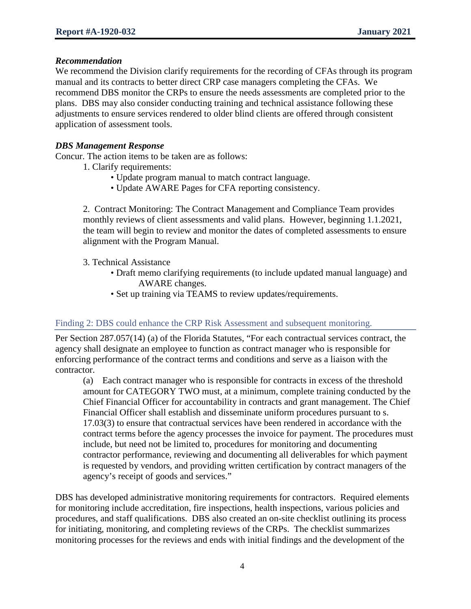#### *Recommendation*

We recommend the Division clarify requirements for the recording of CFAs through its program manual and its contracts to better direct CRP case managers completing the CFAs. We recommend DBS monitor the CRPs to ensure the needs assessments are completed prior to the plans. DBS may also consider conducting training and technical assistance following these adjustments to ensure services rendered to older blind clients are offered through consistent application of assessment tools.

### *DBS Management Response*

Concur. The action items to be taken are as follows:

- 1. Clarify requirements:
	- Update program manual to match contract language.
	- Update AWARE Pages for CFA reporting consistency.

2. Contract Monitoring: The Contract Management and Compliance Team provides monthly reviews of client assessments and valid plans. However, beginning 1.1.2021, the team will begin to review and monitor the dates of completed assessments to ensure alignment with the Program Manual.

- 3. Technical Assistance
	- Draft memo clarifying requirements (to include updated manual language) and AWARE changes.
	- Set up training via TEAMS to review updates/requirements.

#### Finding 2: DBS could enhance the CRP Risk Assessment and subsequent monitoring.

Per Section 287.057(14) (a) of the Florida Statutes, "For each contractual services contract, the agency shall designate an employee to function as contract manager who is responsible for enforcing performance of the contract terms and conditions and serve as a liaison with the contractor.

(a) Each contract manager who is responsible for contracts in excess of the threshold amount for CATEGORY TWO must, at a minimum, complete training conducted by the Chief Financial Officer for accountability in contracts and grant management. The Chief Financial Officer shall establish and disseminate uniform procedures pursuant to s. 17.03(3) to ensure that contractual services have been rendered in accordance with the contract terms before the agency processes the invoice for payment. The procedures must include, but need not be limited to, procedures for monitoring and documenting contractor performance, reviewing and documenting all deliverables for which payment is requested by vendors, and providing written certification by contract managers of the agency's receipt of goods and services."

DBS has developed administrative monitoring requirements for contractors. Required elements for monitoring include accreditation, fire inspections, health inspections, various policies and procedures, and staff qualifications. DBS also created an on-site checklist outlining its process for initiating, monitoring, and completing reviews of the CRPs. The checklist summarizes monitoring processes for the reviews and ends with initial findings and the development of the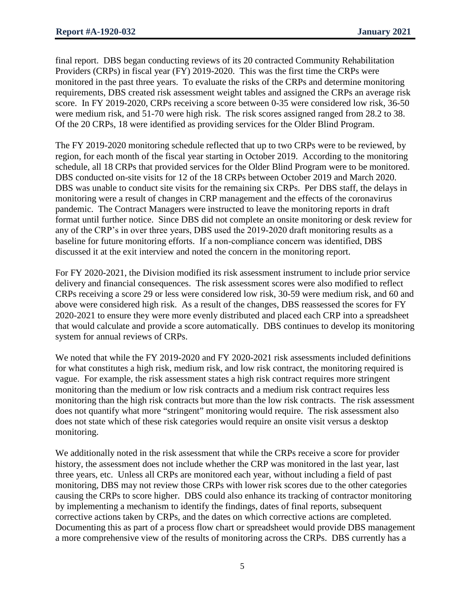final report. DBS began conducting reviews of its 20 contracted Community Rehabilitation Providers (CRPs) in fiscal year (FY) 2019-2020. This was the first time the CRPs were monitored in the past three years. To evaluate the risks of the CRPs and determine monitoring requirements, DBS created risk assessment weight tables and assigned the CRPs an average risk score. In FY 2019-2020, CRPs receiving a score between 0-35 were considered low risk, 36-50 were medium risk, and 51-70 were high risk. The risk scores assigned ranged from 28.2 to 38. Of the 20 CRPs, 18 were identified as providing services for the Older Blind Program.

The FY 2019-2020 monitoring schedule reflected that up to two CRPs were to be reviewed, by region, for each month of the fiscal year starting in October 2019. According to the monitoring schedule, all 18 CRPs that provided services for the Older Blind Program were to be monitored. DBS conducted on-site visits for 12 of the 18 CRPs between October 2019 and March 2020. DBS was unable to conduct site visits for the remaining six CRPs. Per DBS staff, the delays in monitoring were a result of changes in CRP management and the effects of the coronavirus pandemic. The Contract Managers were instructed to leave the monitoring reports in draft format until further notice. Since DBS did not complete an onsite monitoring or desk review for any of the CRP's in over three years, DBS used the 2019‐2020 draft monitoring results as a baseline for future monitoring efforts. If a non‐compliance concern was identified, DBS discussed it at the exit interview and noted the concern in the monitoring report.

For FY 2020-2021, the Division modified its risk assessment instrument to include prior service delivery and financial consequences. The risk assessment scores were also modified to reflect CRPs receiving a score 29 or less were considered low risk, 30-59 were medium risk, and 60 and above were considered high risk. As a result of the changes, DBS reassessed the scores for FY 2020-2021 to ensure they were more evenly distributed and placed each CRP into a spreadsheet that would calculate and provide a score automatically. DBS continues to develop its monitoring system for annual reviews of CRPs.

We noted that while the FY 2019-2020 and FY 2020-2021 risk assessments included definitions for what constitutes a high risk, medium risk, and low risk contract, the monitoring required is vague. For example, the risk assessment states a high risk contract requires more stringent monitoring than the medium or low risk contracts and a medium risk contract requires less monitoring than the high risk contracts but more than the low risk contracts. The risk assessment does not quantify what more "stringent" monitoring would require. The risk assessment also does not state which of these risk categories would require an onsite visit versus a desktop monitoring.

We additionally noted in the risk assessment that while the CRPs receive a score for provider history, the assessment does not include whether the CRP was monitored in the last year, last three years, etc. Unless all CRPs are monitored each year, without including a field of past monitoring, DBS may not review those CRPs with lower risk scores due to the other categories causing the CRPs to score higher. DBS could also enhance its tracking of contractor monitoring by implementing a mechanism to identify the findings, dates of final reports, subsequent corrective actions taken by CRPs, and the dates on which corrective actions are completed. Documenting this as part of a process flow chart or spreadsheet would provide DBS management a more comprehensive view of the results of monitoring across the CRPs. DBS currently has a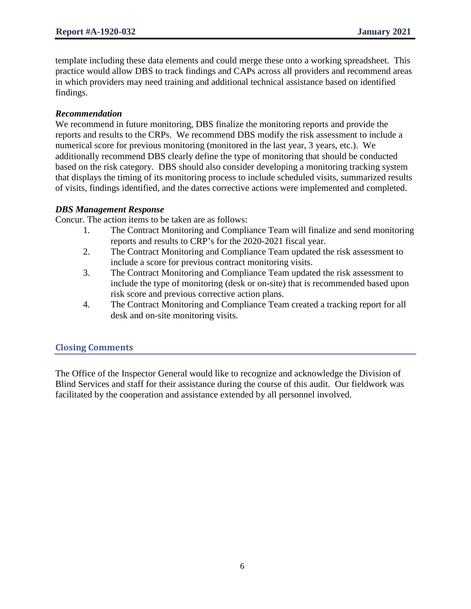template including these data elements and could merge these onto a working spreadsheet. This practice would allow DBS to track findings and CAPs across all providers and recommend areas in which providers may need training and additional technical assistance based on identified findings.

## *Recommendation*

We recommend in future monitoring, DBS finalize the monitoring reports and provide the reports and results to the CRPs. We recommend DBS modify the risk assessment to include a numerical score for previous monitoring (monitored in the last year, 3 years, etc.). We additionally recommend DBS clearly define the type of monitoring that should be conducted based on the risk category. DBS should also consider developing a monitoring tracking system that displays the timing of its monitoring process to include scheduled visits, summarized results of visits, findings identified, and the dates corrective actions were implemented and completed.

## *DBS Management Response*

Concur. The action items to be taken are as follows:

- 1. The Contract Monitoring and Compliance Team will finalize and send monitoring reports and results to CRP's for the 2020-2021 fiscal year.
- 2. The Contract Monitoring and Compliance Team updated the risk assessment to include a score for previous contract monitoring visits.
- 3. The Contract Monitoring and Compliance Team updated the risk assessment to include the type of monitoring (desk or on-site) that is recommended based upon risk score and previous corrective action plans.
- 4. The Contract Monitoring and Compliance Team created a tracking report for all desk and on-site monitoring visits.

## **Closing Comments**

The Office of the Inspector General would like to recognize and acknowledge the Division of Blind Services and staff for their assistance during the course of this audit. Our fieldwork was facilitated by the cooperation and assistance extended by all personnel involved.